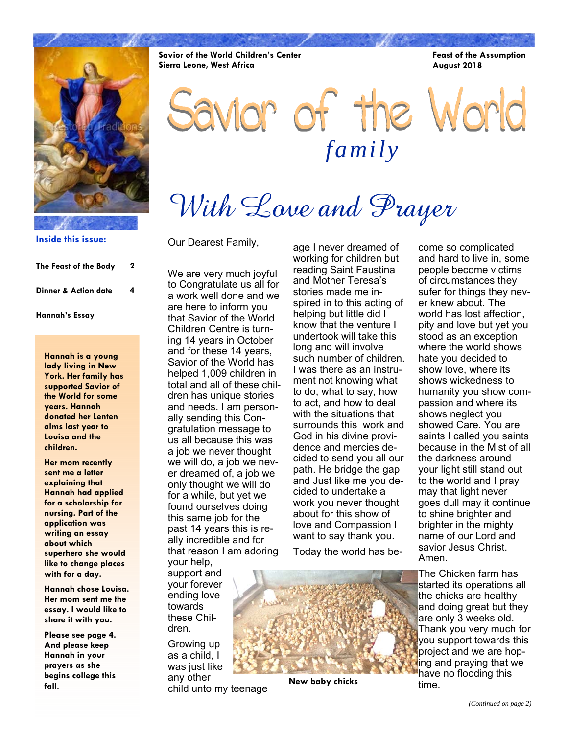

**Inside this issue:**

| The Feast of the Body           | 2 |
|---------------------------------|---|
| <b>Dinner &amp; Action date</b> | 4 |
| Hannah's Essay                  |   |

**Hannah is a young lady living in New York. Her family has supported Savior of the World for some years. Hannah donated her Lenten alms last year to Louisa and the children.** 

**Her mom recently sent me a letter explaining that Hannah had applied for a scholarship for nursing. Part of the application was writing an essay about which superhero she would like to change places with for a day.** 

**Hannah chose Louisa. Her mom sent me the essay. I would like to share it with you.** 

**Please see page 4. And please keep Hannah in your prayers as she begins college this fall.** 

**Savior of the World Children's Center Sierra Leone, West Africa** 

**Feast of the Assumption August 2018** 

Savior of the World *family* 

With Love and Prayer

Our Dearest Family,

We are very much joyful to Congratulate us all for a work well done and we are here to inform you that Savior of the World Children Centre is turning 14 years in October and for these 14 years, Savior of the World has helped 1,009 children in total and all of these children has unique stories and needs. I am personally sending this Congratulation message to us all because this was a job we never thought we will do, a job we never dreamed of, a job we only thought we will do for a while, but yet we found ourselves doing this same job for the past 14 years this is really incredible and for that reason I am adoring your help,

support and your forever ending love towards these Children.

Growing up as a child, I was just like any other child unto my teenage age I never dreamed of working for children but reading Saint Faustina and Mother Teresa's stories made me inspired in to this acting of helping but little did I know that the venture I undertook will take this long and will involve such number of children. I was there as an instrument not knowing what to do, what to say, how to act, and how to deal with the situations that surrounds this work and God in his divine providence and mercies decided to send you all our path. He bridge the gap and Just like me you decided to undertake a work you never thought about for this show of love and Compassion I want to say thank you.

Today the world has be-

**New baby chicks** 

come so complicated and hard to live in, some people become victims of circumstances they sufer for things they never knew about. The world has lost affection, pity and love but yet you stood as an exception where the world shows hate you decided to show love, where its shows wickedness to humanity you show compassion and where its shows neglect you showed Care. You are saints I called you saints because in the Mist of all the darkness around your light still stand out to the world and I pray may that light never goes dull may it continue to shine brighter and brighter in the mighty name of our Lord and savior Jesus Christ. Amen.

The Chicken farm has started its operations all the chicks are healthy and doing great but they are only 3 weeks old. Thank you very much for you support towards this project and we are hoping and praying that we have no flooding this time.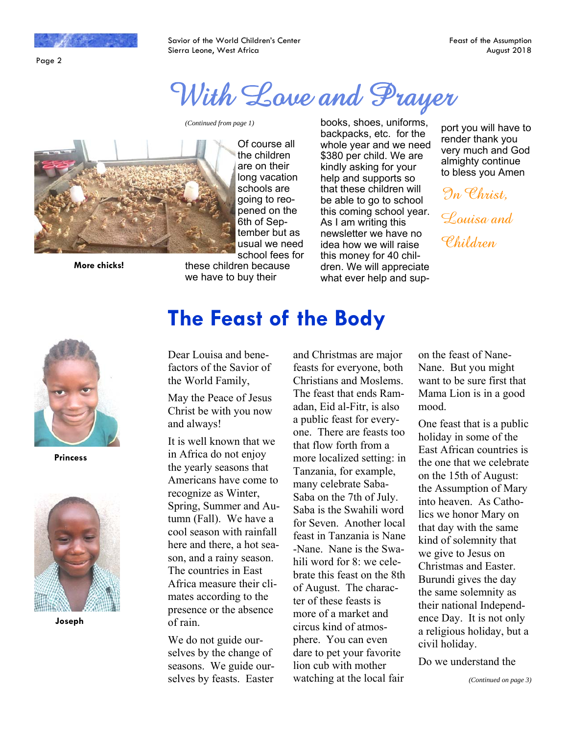

Page 2

Savior of the World Children's Center Sierra Leone, West Africa

# With Love and Prayer



**More chicks!** 

Of course all the children are on their long vacation schools are going to reopened on the 6th of September but as usual we need school fees for

these children because we have to buy their

*(Continued from page 1)* books, shoes, uniforms, backpacks, etc. for the whole year and we need \$380 per child. We are kindly asking for your help and supports so that these children will be able to go to school this coming school year. As I am writing this newsletter we have no idea how we will raise this money for 40 children. We will appreciate what ever help and sup-

port you will have to render thank you very much and God almighty continue to bless you Amen

In Christ, Louisa and Children



**Princess** 



**Joseph** 

Dear Louisa and benefactors of the Savior of the World Family,

May the Peace of Jesus Christ be with you now and always!

It is well known that we in Africa do not enjoy the yearly seasons that Americans have come to recognize as Winter, Spring, Summer and Autumn (Fall). We have a cool season with rainfall here and there, a hot season, and a rainy season. The countries in East Africa measure their climates according to the presence or the absence of rain.

We do not guide ourselves by the change of seasons. We guide ourselves by feasts. Easter

and Christmas are major feasts for everyone, both Christians and Moslems. The feast that ends Ramadan, Eid al-Fitr, is also a public feast for everyone. There are feasts too that flow forth from a more localized setting: in Tanzania, for example, many celebrate Saba-Saba on the 7th of July. Saba is the Swahili word for Seven. Another local feast in Tanzania is Nane -Nane. Nane is the Swahili word for 8: we celebrate this feast on the 8th of August. The character of these feasts is more of a market and circus kind of atmosphere. You can even dare to pet your favorite lion cub with mother watching at the local fair

on the feast of Nane-Nane. But you might want to be sure first that Mama Lion is in a good mood.

One feast that is a public holiday in some of the East African countries is the one that we celebrate on the 15th of August: the Assumption of Mary into heaven. As Catholics we honor Mary on that day with the same kind of solemnity that we give to Jesus on Christmas and Easter. Burundi gives the day the same solemnity as their national Independence Day. It is not only a religious holiday, but a civil holiday.

Do we understand the

# **The Feast of the Body**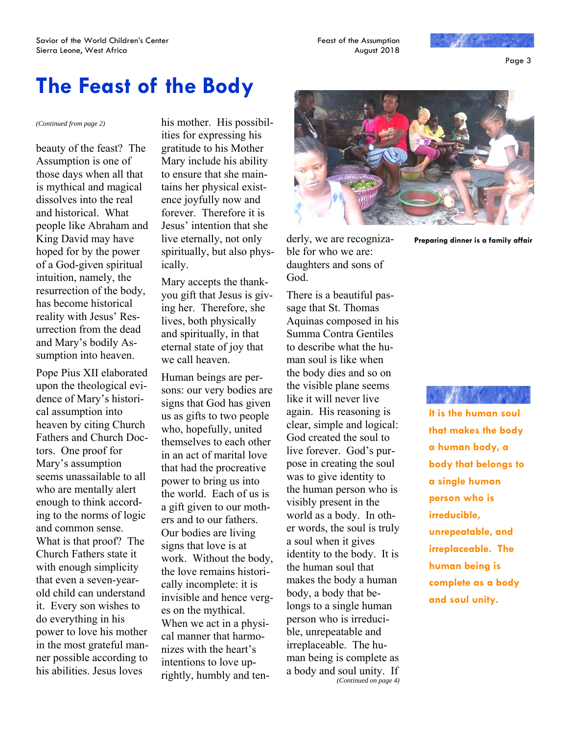

Page 3

## **The Feast of the Body**

beauty of the feast? The Assumption is one of those days when all that is mythical and magical dissolves into the real and historical. What people like Abraham and King David may have hoped for by the power of a God-given spiritual intuition, namely, the resurrection of the body, has become historical reality with Jesus' Resurrection from the dead and Mary's bodily Assumption into heaven.

Pope Pius XII elaborated upon the theological evidence of Mary's historical assumption into heaven by citing Church Fathers and Church Doctors. One proof for Mary's assumption seems unassailable to all who are mentally alert enough to think according to the norms of logic and common sense. What is that proof? The Church Fathers state it with enough simplicity that even a seven-yearold child can understand it. Every son wishes to do everything in his power to love his mother in the most grateful manner possible according to his abilities. Jesus loves

*(Continued from page 2)* his mother. His possibilities for expressing his gratitude to his Mother Mary include his ability to ensure that she maintains her physical existence joyfully now and forever. Therefore it is Jesus' intention that she live eternally, not only spiritually, but also physically.

> Mary accepts the thankyou gift that Jesus is giving her. Therefore, she lives, both physically and spiritually, in that eternal state of joy that we call heaven.

> Human beings are persons: our very bodies are signs that God has given us as gifts to two people who, hopefully, united themselves to each other in an act of marital love that had the procreative power to bring us into the world. Each of us is a gift given to our mothers and to our fathers. Our bodies are living signs that love is at work. Without the body, the love remains historically incomplete: it is invisible and hence verges on the mythical. When we act in a physical manner that harmonizes with the heart's intentions to love uprightly, humbly and ten-



derly, we are recognizable for who we are: daughters and sons of God.

There is a beautiful passage that St. Thomas Aquinas composed in his Summa Contra Gentiles to describe what the human soul is like when the body dies and so on the visible plane seems like it will never live again. His reasoning is clear, simple and logical: God created the soul to live forever. God's purpose in creating the soul was to give identity to the human person who is visibly present in the world as a body. In other words, the soul is truly a soul when it gives identity to the body. It is the human soul that makes the body a human body, a body that belongs to a single human person who is irreducible, unrepeatable and irreplaceable. The human being is complete as a body and soul unity. If *(Continued on page 4)*  **Preparing dinner is a family affair** 

**It is the human soul that makes the body a human body, a body that belongs to a single human person who is irreducible, unrepeatable, and irreplaceable. The human being is complete as a body and soul unity.**